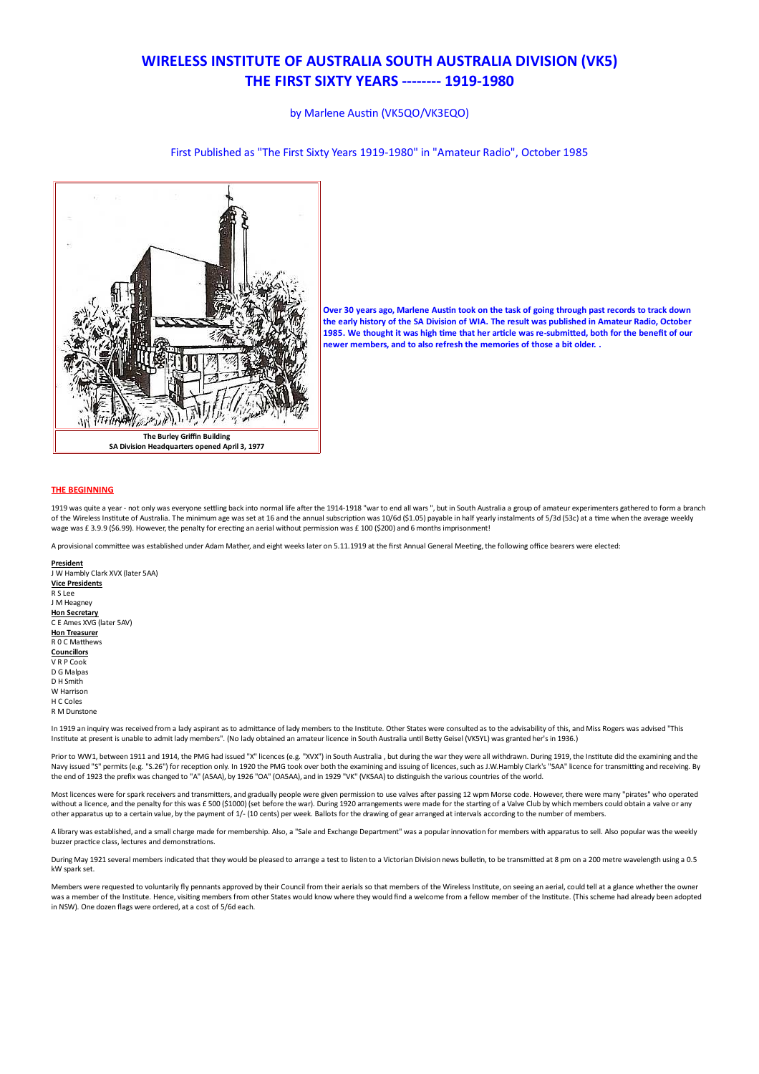# **WIRELESS INSTITUTE OF AUSTRALIA SOUTH AUSTRALIA DIVISION (VK5) THE FIRST SIXTY YEARS -------- 1919-1980**

by Marlene Austin (VK5QO/VK3EQO)

## First Published as "The First Sixty Years 1919-1980" in "Amateur Radio", October 1985



Over 30 years ago, Marlene Austin took on the task of going through past records to track down the early history of the SA Division of WIA. The result was published in Amateur Radio, October 1985. We thought it was high time that her article was re-submitted, both for the benefit of our newer members, and to also refresh the memories of those a bit older.

## **THE BEGINNING**

1919 was quite a year - not only was everyone settling back into normal life after the 1914-1918 "war to end all wars ", but in South Australia a group of amateur experimenters gathered to form a branch of the Wireless Institute of Australia. The minimum age was set at 16 and the annual subscription was 10/6d (\$1.05) payable in half yearly instalments of 5/3d (53c) at a time when the average weekly wage was £ 3.9.9 (\$6.99). However, the penalty for erecting an aerial without permission was £ 100 (\$200) and 6 months imprisonment!

A provisional committee was established under Adam Mather, and eight weeks later on 5.11.1919 at the first Annual General Meeting, the following office bearers were elected:

President J W Hambly Clark XVX (later 5AA) **Vice Presidents** R S Lee **IM Heagney** Hon Secretary C E Ames XVG (later 5AV) **Hon Treasurer** R 0 C Matthews Councillors V R P Cool D.G. Malnac D H Smith W Harrison H C Coles **R.M.Dunstone** 

In 1919 an inquiry was received from a lady aspirant as to admittance of lady members to the Institute. Other States were consulted as to the advisability of this, and Miss Rogers was advised "This Institute at present is unable to admit lady members" (No lady obtained an amateur licence in South Australia until Betty Geisel (VK5YL) was granted ber's in 1936)

Prior to WW1, between 1911 and 1914, the PMG had issued "X" licences (e.g. "XVX") in South Australia , but during the war they were all withdrawn. During 1919, the Institute did the examining and the<br>Navy issued "S" permit the end of 1923 the prefix was changed to "A" (ASAA), by 1926 "OA" (OASAA), and in 1929 "VK" (VKSAA) to distinguish the various countries of the world.

Most licences were for spark receivers and transmitters, and gradually people were given permission to use valves after passing 12 wpm Morse code. However, there were many "pirates" who operated without a licence, and the penalty for this was £ 500 (\$1000) (set before the war). During 1920 arrangements were made for the starting of a Valve Club by which members could obtain a valve or any other apparatus up to a certain value, by the payment of 1/- (10 cents) per week. Ballots for the drawing of gear arranged at intervals according to the number of members

A library was established, and a small charge made for membership. Also, a "Sale and Exchange Department" was a popular innovation for members with apparatus to sell. Also popular was the weekly buzzer practice class, lectures and demonstrations.

During May 1921 several members indicated that they would be pleased to arrange a test to listen to a Victorian Division news bulletin, to be transmitted at 8 pm on a 200 metre wavelength using a 0.5 kW spark set.

Members were requested to voluntarily fly pennants approved by their Council from their aerials so that members of the Wireless Institute, on seeing an aerial, could tell at a glance whether the owner was a member of the Institute. Hence, visiting members from other States would know where they would find a welcome from a fellow member of the Institute. (This scheme had already been adopted in NSW). One dozen flags were ordered, at a cost of 5/6d each.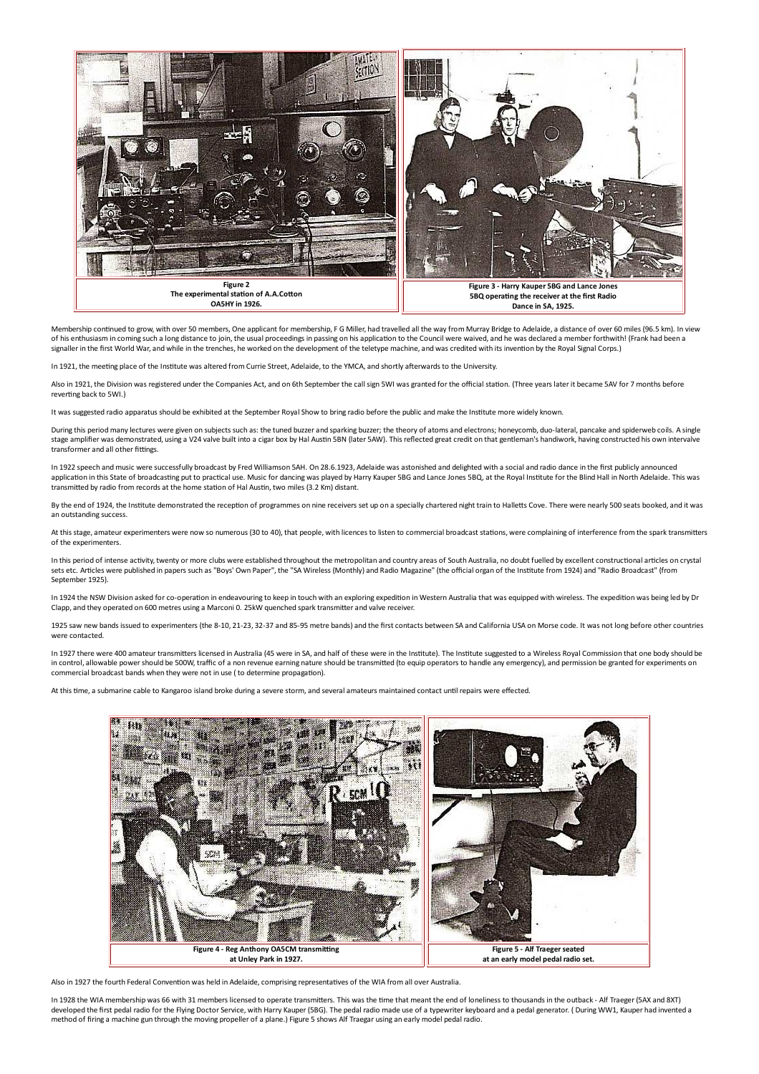

Membership continued to grow, with over 50 members, One applicant for membership, F G Miller, had travelled all the way from Murray Bridge to Adelaide, a distance of over 60 miles (96.5 km). In view of his enthusiasm in coming such a long distance to join, the usual proceedings in passing on his application to the Council were waived, and he was declared a member forthwith! (Frank had been a signaller in the first Wor

In 1921, the meeting place of the Institute was altered from Currie Street. Adelaide, to the YMCA, and shortly afterwards to the University.

Also in 1921, the Division was registered under the Companies Act, and on 6th September the call sign 5WI was granted for the official station. (Three years later it became 5AV for 7 months before reverting back to 5WI.)

It was suggested radio apparatus should be exhibited at the September Royal Show to bring radio before the public and make the Institute more widely known.

During this period many lectures were given on subjects such as: the tuned buzzer and sparking buzzer; the theory of atoms and electrons; honeycomb, duo-lateral, pancake and spiderweb coils. A single stage amplifier was demonstrated, using a V24 valve built into a cigar box by Hal Austin 5BN (later 5AW). This reflected great credit on that gentleman's handiwork, having constructed his own intervalve transformer and all other fittings.

In 1922 speech and music were successfully broadcast by Fred Williamson 5AH. On 28.6.1923, Adelaide was astonished and delighted with a social and radio dance in the first publicly announced application in this State of broadcasting put to practical use. Music for dancing was played by Harry Kauper 5BG and Lance Jones 5BQ, at the Royal Institute for the Blind Hall in North Adelaide. This was transmitted by radio from records at the home station of Hal Austin, two miles (3.2 Km) distant.

By the end of 1924, the Institute demonstrated the reception of programmes on nine receivers set up on a specially chartered night train to Halletts Cove. There were nearly 500 seats booked, and it was an outstanding success

At this stage, amateur experimenters were now so numerous (30 to 40), that people, with licences to listen to commercial broadcast stations, were complaining of interference from the spark transmitters of the experimenters

In this period of intense activity, twenty or more clubs were established throughout the metropolitan and country areas of South Australia, no doubt fuelled by excellent constructional articles on crystal<br>sets etc. Article September 1925).

In 1924 the NSW Division asked for co-operation in endeavouring to keep in touch with an exploring expedition in Western Australia that was equipped with wireless. The expedition was being led by Dr Clapp, and they operated on 600 metres using a Marconi 0. 25kW quenched spark transmitter and valve receiver.

1925 saw new bands issued to experimenters (the 8-10, 21-23, 32-37 and 85-95 metre bands) and the first contacts between SA and California USA on Morse code. It was not long before other countries were contacted.

In 1927 there were 400 amateur transmitters licensed in Australia (45 were in SA, and half of these were in the Institute). The Institute suggested to a Wireless Royal Commission that one body should be in control, allowable power should be 500W, traffic of a non revenue earning nature should be transmitted (to equip operators to handle any emergency), and permission be granted for experiments on commercial broadcast bands when they were not in use (to determine propagation).

At this time, a submarine cable to Kangaroo island broke during a severe storm, and several amateurs maintained contact until repairs were effected.



Also in 1927 the fourth Federal Convention was held in Adelaide, comprising representatives of the WIA from all over Australia

In 1928 the WIA membership was 66 with 31 members licensed to operate transmitters. This was the time that meant the end of loneliness to thousands in the outback - Alf Traeger (5AX and 8XT) developed the first pedal radio for the Flying Doctor Service, with Harry Kauper (5BG). The pedal radio made use of a typewriter keyboard and a pedal generator. ( During WW1, Kauper had invented a method of firing a machine gun through the moving propeller of a plane.) Figure 5 shows Alf Traegar using an early model pedal radio.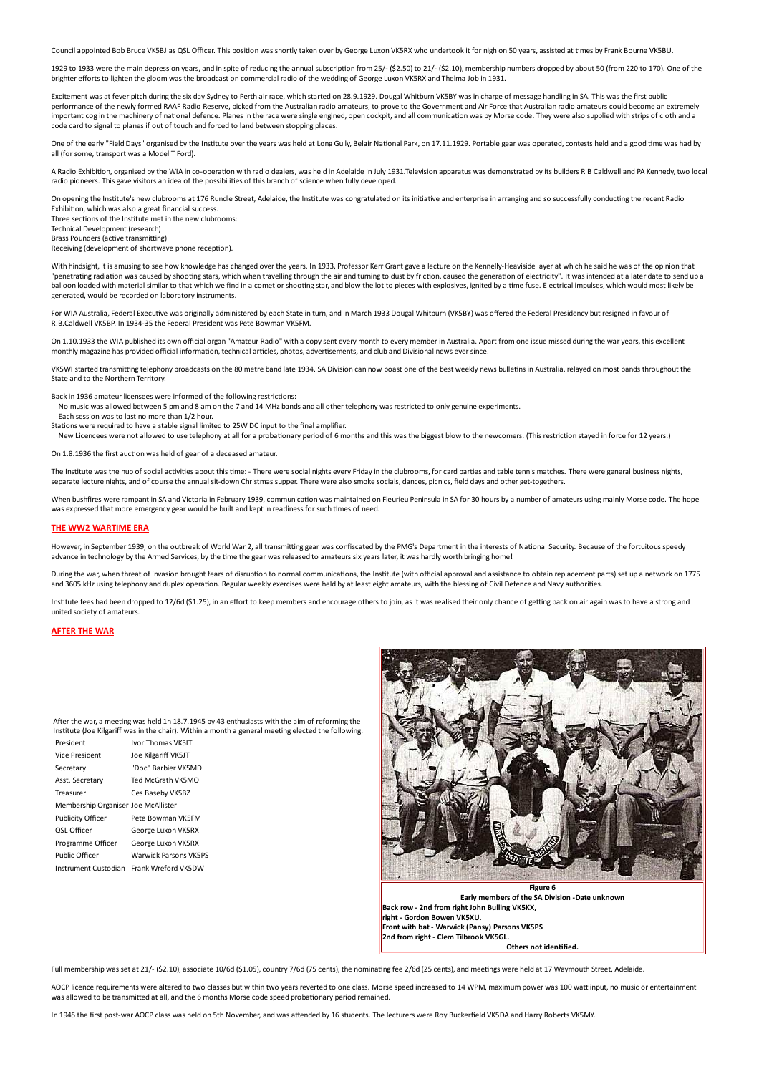Council appointed Bob Bruce VK5BJ as QSL Officer. This position was shortly taken over by George Luxon VK5RX who undertook it for nigh on 50 years, assisted at times by Frank Bourne VK5BU.

1929 to 1933 were the main depression years, and in spite of reducing the annual subscription from 25/- (\$2.50) to 21/- (\$2.10), membership numbers dropped by about 50 (from 220 to 170). One of the brighter efforts to lighten the gloom was the broadcast on commercial radio of the wedding of George Luxon VK5RX and Thelma Job in 1931.

Excitement was at fever pitch during the six day Sydney to Perth air race, which started on 28.9.1929. Dougal Whitburn VK5BY was in charge of message handling in SA. This was the first public performance of the newly formed RAAF Radio Reserve, picked from the Australian radio amateurs, to prove to the Government and Air Force that Australian radio amateurs could become an extremely important cor in the machinery of national defence. Planes in the race were single engined, open cockpit, and all communication was by Morse code. They were also supplied with strips of cloth and a code card to signal to planes if out of touch and forced to land between stopping places.

One of the early "Field Days" organised by the Institute over the years was held at Long Gully, Belair National Park, on 17.11.1929. Portable gear was operated, contests held and a good time was had by all (for some, transport was a Model T Ford).

A Radio Exhibition, organised by the WIA in co-operation with radio dealers, was held in Adelaide in July 1931. Television apparatus was demonstrated by its builders R B Caldwell and PA Kennedy, two local radio pioneers. This gave visitors an idea of the possibilities of this branch of science when fully developed.

On opening the Institute's new clubrooms at 176 Rundle Street, Adelaide, the Institute was congratulated on its initiative and enterprise in arranging and so successfully conducting the recent Radio Exhibition, which was also a great financial success.

Three sections of the Institute met in the new clubrooms:

Technical Development (research) **Rrass Pounders (active transmitting)** 

Receiving (development of shortwave phone reception).

With hindsight, it is amusing to see how knowledge has changed over the years. In 1933, Professor Kerr Grant gave a lecture on the Kennelly-Heaviside layer at which he said he was of the opinion that "penetrating radiation was caused by shooting stars, which when travelling through the air and turning to dust by friction, caused the generation of electricity". It was intended at a later date to send up a balloon loaded with material similar to that which we find in a comet or shooting star, and blow the lot to pieces with explosives, ignited by a time fuse. Electrical impulses, which would most likely be generated, would be recorded on laboratory instruments.

For WIA Australia, Federal Executive was originally administered by each State in turn, and in March 1933 Dougal Whitburn (VK5BY) was offered the Federal Presidency but resigned in favour of R.B.Caldwell VK5BP, In 1934-35 the Federal President was Pete Bowman VK5FM.

On 1.10.1933 the WIA published its own official organ "Amateur Radio" with a copy sent every month to every member in Australia. Apart from one issue missed during the war years, this excellent monthly magazine has provided official information, technical articles, photos, advertisements, and club and Divisional news ever since.

VK5WI started transmitting telephony broadcasts on the 80 metre band late 1934. SA Division can now boast one of the best weekly news bulletins in Australia, relayed on most bands throughout the State and to the Northern Territory.

Back in 1936 amateur licensees were informed of the following restrictions:

No music was allowed between 5 pm and 8 am on the 7 and 14 MHz bands and all other telephony was restricted to only genuine experiments.

Each session was to last no more than 1/2 hour.

Stations were required to have a stable signal limited to 25W DC input to the final amplifier.

New Licencees were not allowed to use telephony at all for a probationary period of 6 months and this was the biggest blow to the newcomers. (This restriction stayed in force for 12 years.)

On 1.8.1936 the first auction was held of gear of a deceased amateur.

The Institute was the hub of social activities about this time: - There were social nights every Friday in the clubrooms, for card parties and table tennis matches. There were general business nights, separate lecture nights, and of course the annual sit-down Christmas supper. There were also smoke socials, dances, picnics, field days and other get-togethers.

When bushfires were rampant in SA and Victoria in February 1939, communication was maintained on Fleurieu Peninsula in SA for 30 hours by a number of amateurs using mainly Morse code. The hope was expressed that more emergency gear would be built and kept in readiness for such times of need.

## THE WIM2 WARTIME FRA

However, in September 1939, on the outbreak of World War 2, all transmitting gear was confiscated by the PMG's Department in the interests of National Security. Because of the fortuitous speedy advance in technology by the Armed Services, by the time the gear was released to amateurs six years later, it was hardly worth bringing home!

During the war, when threat of invasion brought fears of discuption to normal communications, the Institute (with official approval and assistance to obtain replacement parts) set up a network on 1775 and 3605 kHz using telephony and duplex operation. Regular weekly exercises were held by at least eight amateurs, with the blessing of Civil Defence and Navy authorities

Institute fees had been dropped to 12/6d (\$1.25), in an effort to keep members and encourage others to join, as it was realised their only chance of getting back on air again was to have a strong and united society of amateurs.

#### **AFTER THE WAR**

After the war, a meeting was held 1n 18.7.1945 by 43 enthusiasts with the aim of reforming the Institute (Joe Kilgariff was in the chair). Within a month a general meeting elected the following:

| President                           | Ivor Thomas VK5IT            |
|-------------------------------------|------------------------------|
| <b>Vice President</b>               | Joe Kilgariff VK5JT          |
| Secretary                           | "Doc" Barbier VK5MD          |
| Asst. Secretary                     | Ted McGrath VK5MO            |
| Treasurer                           | Ces Baseby VK5BZ             |
| Membership Organiser Joe McAllister |                              |
| <b>Publicity Officer</b>            | Pete Bowman VK5FM            |
| <b>QSL Officer</b>                  | George Luxon VK5RX           |
| Programme Officer                   | George Luxon VK5RX           |
| Public Officer                      | <b>Warwick Parsons VK5PS</b> |
| Instrument Custodian                | Frank Wreford VK5DW          |
|                                     |                              |



Farly members of the SA Division -Date unknown Back row - 2nd from right John Bulling VK5KX. right - Gordon Bowen VK5XU. 2nd from right - Clem Tilbrook VK5GL Others not identified

Full membership was set at 21/- (\$2.10), associate 10/6d (\$1.05), country 7/6d (75 cents), the nominating fee 2/6d (25 cents), and meetings were held at 17 Waymouth Street, Adelaide

AOCP licence requirements were altered to two classes but within two years reverted to one class. Morse speed increased to 14 WPM, maximum power was 100 watt input, no music or entertainment was allowed to be transmitted at all, and the 6 months Morse code speed probationary period remained.

In 1945 the first post-war AOCP class was held on 5th November, and was attended by 16 students. The lecturers were Roy Buckerfield VK5DA and Harry Roberts VK5MY.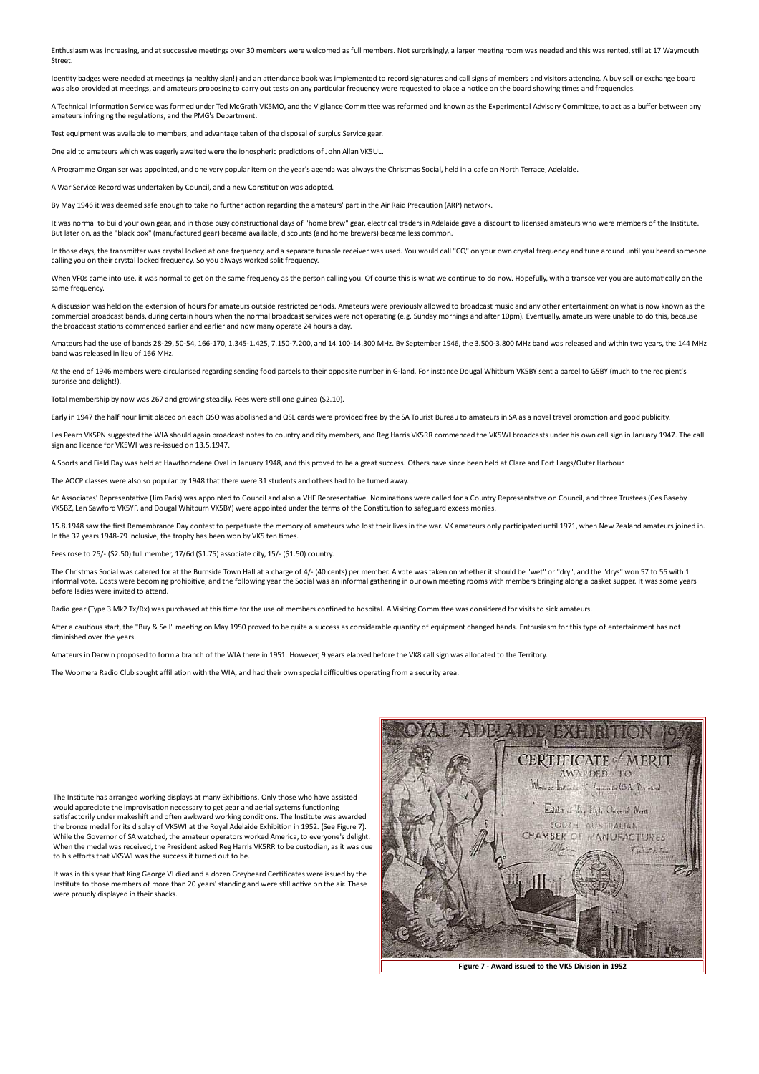Enthusiasm was increasing, and at successive meetings over 30 members were welcomed as full members. Not surprisingly, a larger meeting room was needed and this was rented, still at 17 Waymouth Street

Identity badges were needed at meetings (a healthy sign!) and an attendance book was implemented to record signatures and call signs of members and visitors attending. A buy sell or exchange board was also provided at meetings, and amateurs proposing to carry out tests on any particular frequency were requested to place a notice on the board showing times and frequencies.

A Technical Information Service was formed under Ted McGrath VK5MO, and the Vigilance Committee was reformed and known as the Experimental Advisory Committee, to act as a buffer between any amateurs infringing the regulations, and the PMG's Department.

Test equipment was available to members, and advantage taken of the disposal of surplus Service gear.

One aid to amateurs which was eagerly awaited were the ionospheric predictions of John Allan VK5UL

A Programme Organiser was appointed, and one very popular item on the year's agenda was always the Christmas Social, held in a cafe on North Terrace, Adelaide,

A War Service Record was undertaken by Council, and a new Constitution was adopted.

By May 1946 it was deemed safe enough to take no further action regarding the amateurs' part in the Air Raid Precaution (ARP) network.

It was normal to build your own gear, and in those busy constructional days of "home brew" gear, electrical traders in Adelaide gave a discount to licensed amateurs who were members of the Institute. But later on, as the "black box" (manufactured gear) became available, discounts (and home brewers) became less common.

In those days, the transmitter was crystal locked at one frequency, and a separate tunable receiver was used. You would call "CQ" on your own crystal frequency and tune around until you heard someone calling you on their crystal locked frequency. So you always worked split frequency.

When VF0s came into use, it was normal to get on the same frequency as the person calling you. Of course this is what we continue to do now. Hopefully, with a transceiver you are automatically on the same frequency

A discussion was held on the extension of hours for amateurs outside restricted periods. Amateurs were previously allowed to broadcast music and any other entertainment on what is now known as the commercial broadcast bands, during certain hours when the normal broadcast services were not operating (e.g. Sunday mornings and after 10pm). Eventually, amateurs were unable to do this, because the broadcast stations commenced earlier and earlier and now many operate 24 hours a day.

Amateurs had the use of bands 28-29, 50-54, 166-170, 1.345-1.425, 7.150-7.200, and 14.100-14.300 MHz. By September 1946, the 3.500-3.800 MHz band was released and within two years, the 144 MHz band was released in lieu of 166 MHz.

At the end of 1946 members were circularised regarding sending food parcels to their opposite number in G-land. For instance Dougal Whitburn VK5BY sent a parcel to G5BY (much to the recipient's surprise and delight!).

Total membership by now was 267 and growing steadily. Fees were still one guinea (\$2.10)

Farly in 1947 the half hour limit placed on each OSO was abolished and OSL cards were provided free by the SA Tourist Bureau to amateurs in SA as a novel travel promotion and good publicity.

Les Pearn VK5PN suggested the WIA should again broadcast notes to country and city members, and Reg Harris VK5RR commenced the VK5WI broadcasts under his own call sign in January 1947. The call sign and licence for VK5WI was re-issued on 13.5.1947.

A Sports and Field Day was held at Hawthorndene Oyal in January 1948, and this proved to be a great success. Others have since been held at Clare and Fort Largs/Outer Harbour.

The AOCP classes were also so popular by 1948 that there were 31 students and others had to be turned away.

An Associates' Representative (Jim Paris) was appointed to Council and also a VHF Representative. Nominations were called for a Country Representative on Council, and three Trustees (Ces Baseby VK5BZ, Len Sawford VK5YF, and Dougal Whitburn VK5BY) were appointed under the terms of the Constitution to safeguard excess monies

15.8.1948 saw the first Remembrance Day contest to perpetuate the memory of amateurs who lost their lives in the war. VK amateurs only participated until 1971, when New Zealand amateurs joined in. In the 32 years 1948-79 inclusive, the trophy has been won by VK5 ten times.

Fees rose to 25/- (\$2.50) full member, 17/6d (\$1.75) associate city, 15/- (\$1.50) country.

The Christmas Social was catered for at the Burnside Town Hall at a charge of 4/- (40 cents) per member. A vote was taken on whether it should be "wet" or "dry", and the "drys" won 57 to 55 with 1 informal vote. Costs were becoming prohibitive, and the following year the Social was an informal gathering in our own meeting rooms with members bringing along a basket supper. It was some years before ladies were invited to attend

Radio gear (Type 3 Mk2 Tx/Rx) was purchased at this time for the use of members confined to hospital. A Visiting Committee was considered for visits to sick amateurs.

After a cautious start, the "Buy & Sell" meeting on May 1950 proved to be quite a success as considerable quantity of equipment changed hands. Enthusiasm for this type of entertainment has not diminished over the years.

Amateurs in Darwin proposed to form a branch of the WIA there in 1951. However, 9 years elapsed before the VK8 call sign was allocated to the Territory.

The Woomera Radio Club sought affiliation with the WIA, and had their own special difficulties operating from a security area.

The Institute has arranged working displays at many Exhibitions. Only those who have assisted would appreciate the improvisation necessary to get gear and aerial systems functioning satisfactorily under makeshift and often awkward working conditions. The Institute was awarded the bronze medal for its display of VK5WI at the Royal Adelaide Exhibition in 1952. (See Figure 7). While the Governor of SA watched, the amateur operators worked America, to everyone's delight. When the medal was received, the President asked Reg Harris VK5RR to be custodian, as it was due to his efforts that VK5WI was the success it turned out to be.

It was in this year that King George VI died and a dozen Greybeard Certificates were issued by the Institute to those members of more than 20 years' standing and were still active on the air. These were proudly displayed in their shacks.



Figure 7 - Award issued to the VK5 Division in 1952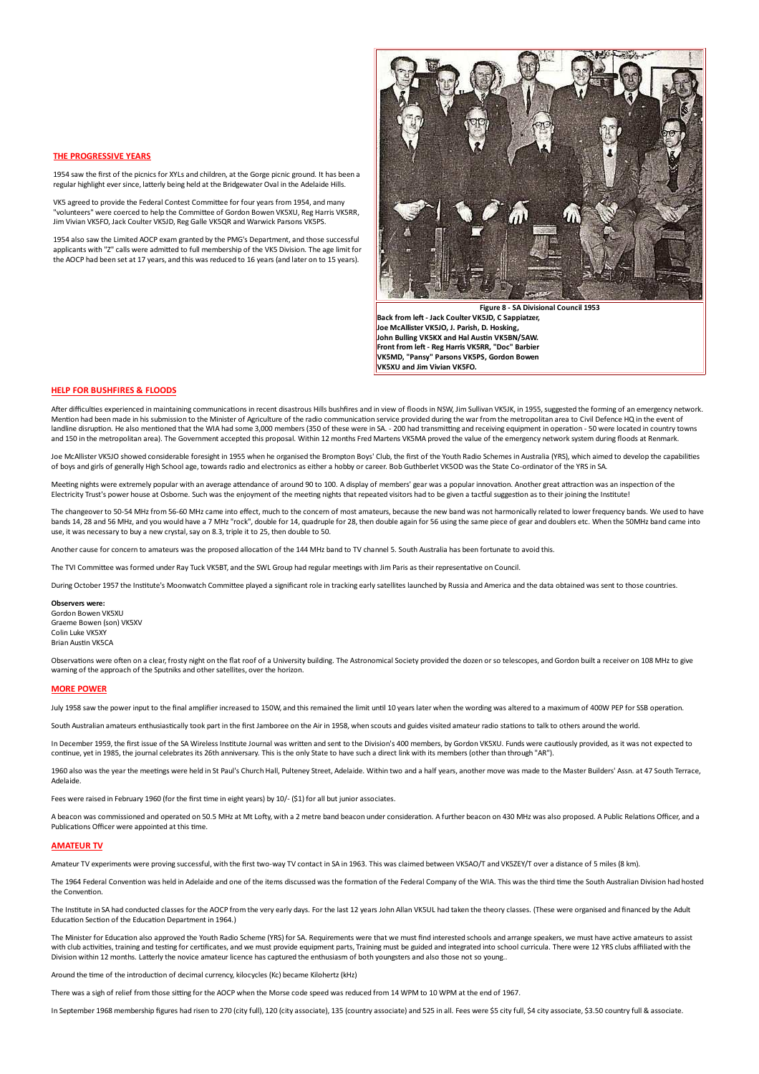### THE PROGRESSIVE VEARS

1954 saw the first of the picnics for XYLs and children, at the Gorge picnic ground. It has been a regular highlight ever since, latterly being held at the Bridgewater Oval in the Adelaide Hills.

VK5 agreed to provide the Federal Contest Committee for four years from 1954, and many "volunteers" were coerced to help the Committee of Gordon Bowen VK5XU. Reg Harris VK5RR. Jim Vivian VK5FO, Jack Coulter VK5JD, Reg Galle VK5QR and Warwick Parsons VK5PS

1954 also saw the Limited AOCP exam granted by the PMG's Department, and those successful applicants with "Z" calls were admitted to full membership of the VK5 Division. The age limit for the AOCP had been set at 17 years, and this was reduced to 16 years (and later on to 15 years).



Figure 8 - SA Divisional Council 1953 Back from left - Jack Coulter VK5JD, C Sappiatzer, Ine McAllister VK5IO. I. Parish, D. Hosking John Bulling VK5KX and Hal Austin VK5BN/5AW. Front from left - Reg Harris VK5RR, "Doc" Barbier VK5MD, "Pansy" Parsons VK5PS, Gordon Bowen VK5XU and Jim Vivian VK5FO.

## **HELP FOR BUSHFIRES & FLOODS**

After difficulties experienced in maintaining communications in recent disastrous Hills bushfires and in view of floods in NSW. Jim Sullivan VKSJK, in 1955, suggested the forming of an emergency network. Mention had been made in his submission to the Minister of Agriculture of the radio communication service provided during the war from the metropolitan area to Civil Defence HQ in the event of landline disruption. He also mentioned that the WIA had some 3,000 members (350 of these were in SA. - 200 had transmitting and receiving equipment in operation - 50 were located in country towns and 150 in the metropolitan area). The Government accepted this proposal. Within 12 months Fred Martens VK5MA proved the value of the emergency network system during floods at Renmark.

Joe McAllister VK5JO showed considerable foresight in 1955 when he organised the Brompton Boys' Club, the first of the Youth Radio Schemes in Australia (YRS), which aimed to develop the capabilities of boys and girls of generally High School age, towards radio and electronics as either a hobby or career. Bob Guthberlet VK5OD was the State Co-ordinator of the YRS in SA.

Meeting nights were extremely popular with an average attendance of around 90 to 100. A display of members' gear was a popular innovation. Another great attraction was an inspection of the Electricity Trust's power house at Osborne. Such was the enjoyment of the meeting nights that repeated visitors had to be given a tactful suggestion as to their joining the Institute!

The changeover to 50-54 MHz from 56-60 MHz came into effect, much to the concern of most amateurs, because the new band was not harmonically related to lower frequency bands. We used to have bands 14, 28 and 56 MHz, and you would have a 7 MHz "rock", double for 14, quadruple for 28, then double again for 56 using the same piece of gear and doublers etc. When the 50MHz band came into use, it was necessary to buy a new crystal, say on 8.3, triple it to 25, then double to 50.

Approper cause for concern to amateurs was the proposed allocation of the 144 MHz band to TV channel 5. South Australia has been fortunate to avoid this

The TVI Committee was formed under Ray Tuck VK5BT, and the SWL Group had regular meetings with Jim Paris as their representative on Council.

During October 1957 the Institute's Moonwatch Committee played a significant role in tracking early satellites launched by Russia and America and the data obtained was sent to those countries.

Observers were:

Gordon Bowen VK5XU Graeme Bowen (son) VK5XV Colin Luke WK5YY **Brian Austin VK5CA** 

Observations were often on a clear. frostv night on the flat roof of a University building. The Astronomical Society provided the dozen or so telescopes, and Gordon built a receiver on 108 MHz to give warning of the approach of the Sputniks and other satellites, over the horizon.

## **MORE POWER**

July 1958 saw the power input to the final amplifier increased to 150W, and this remained the limit until 10 years later when the wording was altered to a maximum of 400W PEP for SSB operation.

South Australian amateurs enthusiastically took part in the first Jamboree on the Air in 1958, when scouts and guides visited amateur radio stations to talk to others around the world.

In December 1959, the first issue of the SA Wireless Institute Journal was written and sent to the Division's 400 members, by Gordon VK5XU. Funds were cautiously provided, as it was not expected to continue, yet in 1985, the journal celebrates its 26th anniversary. This is the only State to have such a direct link with its members (other than through "AR").

1960 also was the vear the meetings were held in St Paul's Church Hall. Pulteney Street. Adelaide. Within two and a half years, another move was made to the Master Builders' Assn. at 47 South Terrace. Adelaide

Fees were raised in February 1960 (for the first time in eight years) by 10/- (\$1) for all but junior associates.

A beacon was commissioned and operated on 50.5 MHz at Mt Lofty, with a 2 metre band beacon under consideration. A further beacon on 430 MHz was also proposed. A Public Relations Officer, and a Publications Officer were appointed at this time.

## **AMATEUR TV**

Amateur TV experiments were proving successful, with the first two-way TV contact in SA in 1963. This was claimed between VK5AO/T and VK5ZFY/T over a distance of 5 miles (8 km)

The 1964 Federal Convention was held in Adelaide and one of the items discussed was the formation of the Federal Company of the WIA. This was the third time the South Australian Division had hosted the Convention

The Institute in SA had conducted classes for the AOCP from the very early days. For the last 12 years John Allan VK5UL had taken the theory classes. (These were organised and financed by the Adult Education Section of the Education Department in 1964.)

The Minister for Education also approved the Youth Radio Scheme (YRS) for SA. Requirements were that we must find interested schools and arrange speakers, we must have active amateurs to assist with club activities, training and testing for certificates, and we must provide equipment parts, Training must be guided and integrated into school curricula. There were 12 YRS clubs affiliated with the Division within 12 months, Latterly the novice amateur licence has captured the enthusiasm of both youngsters and also those not so young.

Around the time of the introduction of decimal currency, kilocycles (Kc) became Kilohertz (kHz)

There was a sigh of relief from those sitting for the AOCP when the Morse code speed was reduced from 14 WPM to 10 WPM at the end of 1967.

In September 1968 membership figures had risen to 270 (city full), 120 (city associate), 135 (country associate) and 525 in all. Fees were \$5 city full, \$4 city associate, \$3.50 country full & associate.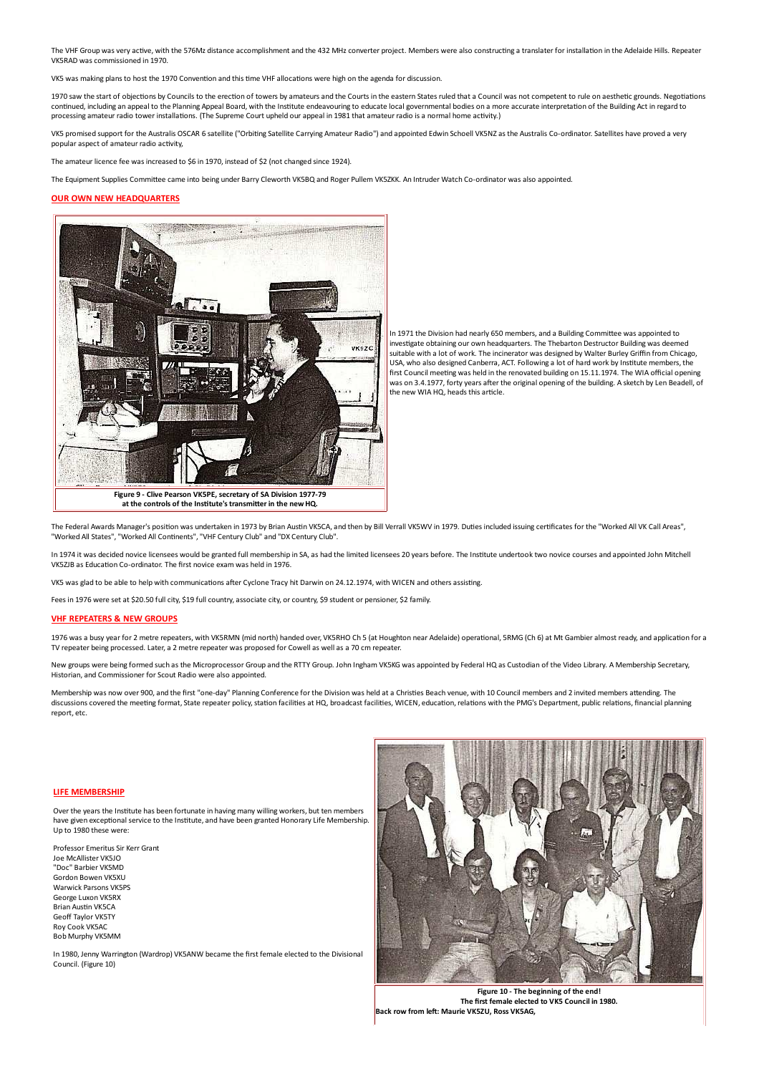The VHF Group was very active, with the 576Mz distance accomplishment and the 432 MHz converter project. Members were also constructing a translater for installation in the Adelaide Hills. Repeater VK5RAD was commissioned in 1970.

was making plans to host the 1970 Convention and this time VHF allocations were high on the agenda for discussion.

1970 saw the start of objections by Councils to the erection of towers by amateurs and the Courts in the eastern States ruled that a Council was not competent to rule on aesthetic grounds. Negotiations continued, including an appeal to the Planning Appeal Board, with the Institute endeavouring to educate local governmental bodies on a more accurate interpretation of the Building Act in regard to processing amateur radio tower installations. (The Supreme Court upheld our appeal in 1981 that amateur radio is a normal home activity.)

VK5 promised support for the Australis OSCAR 6 satellite ("Orbiting Satellite Carrying Amateur Radio") and appointed Edwin Schoell VK5NZ as the Australis Co-ordinator. Satellites have proved a very popular aspect of amateur radio activity,

The amateur licence fee was increased to \$6 in 1970, instead of \$2 (not changed since 1924).

The Equipment Supplies Committee came into being under Barry Cleworth VK5BQ and Roger Pullem VK5ZKK. An Intruder Watch Co-ordinator was also appointed.

#### **OUR OWN NEW HEADQUARTERS**



In 1971 the Division had nearly 650 members, and a Building Committee was appointed to investigate obtaining our own headquarters. The Thebarton Destructor Building was deemed suitable with a lot of work. The incinerator was designed by Walter Burley Griffin from Chicago, USA, who also designed Canberra, ACT. Following a lot of hard work by Institute members, the first Council meeting was held in the renovated building on 15.11.1974. The WIA official opening was on 3.4.1977, forty years after the original opening of the building. A sketch by Len Beadell, of the new WIA HQ, heads this article.

at the controls of the Institute's transmitter in the new HQ.

The Federal Awards Manager's position was undertaken in 1973 by Brian Austin VKSCA, and then by Bill Verrall VKSWV in 1979. Duties included issuing certificates for the "Worked All VK Call Areas", "Worked All States", "Worked All Continents", "VHF Century Club" and "DX Century Club".

In 1974 it was decided novice licensees would be granted full membership in SA, as had the limited licensees 20 years before. The Institute undertook two novice courses and appointed John Mitchell VK5ZJB as Education Co-ordinator. The first novice exam was held in 1976.

VK5 was glad to be able to help with communications after Cyclone Tracy hit Darwin on 24.12.1974, with WICEN and others assisting.

Fees in 1976 were set at \$20.50 full city, \$19 full country, associate city, or country, \$9 student or pensioner, \$2 family.

## **VHF REPEATERS & NEW GROUPS**

1976 was a busy year for 2 metre repeaters, with VK5RMN (mid north) handed over, VK5RHO Ch 5 (at Houghton near Adelaide) operational, 5RMG (Ch 6) at Mt Gambier almost ready, and application for a TV repeater being processed. Later, a 2 metre repeater was proposed for Cowell as well as a 70 cm repeater.

New groups were being formed such as the Microprocessor Group and the RTTY Group. John Ingham VK5KG was appointed by Federal HQ as Custodian of the Video Library. A Membership Secretary, Historian, and Commissioner for Scout Radio were also appointed.

Membership was now over 900, and the first "one-day" Planning Conference for the Division was held at a Christies Beach venue, with 10 Council members and 2 invited members attending. The discussions covered the meeting format, State repeater policy, station facilities at HQ, broadcast facilities, WICEN, education, relations with the PMG's Department, public relations, financial planning report, etc.

#### LIFE MEMBERSHIP

Over the years the Institute has been fortunate in having many willing workers, but ten members have given exceptional service to the Institute, and have been granted Honorary Life Membership. Up to 1980 these were:

Professor Emeritus Sir Kerr Grant Joe McAllister VK5JO "Doc" Barbier VK5MD Gordon Bowen VK5XU Warwick Parsons VK5PS George Luxon VK5RX Brian Austin VK5CA **Geoff Taylor VK5TY** Roy Cook VK5AC **Bob Murphy VK5MM** 

In 1980, Jenny Warrington (Wardrop) VK5ANW became the first female elected to the Divisional Council. (Figure 10)



Figure 10 - The beginning of the end! The first female elected to VK5 Council in 1980. Back row from left: Maurie VK5ZU. Ross VK5AG.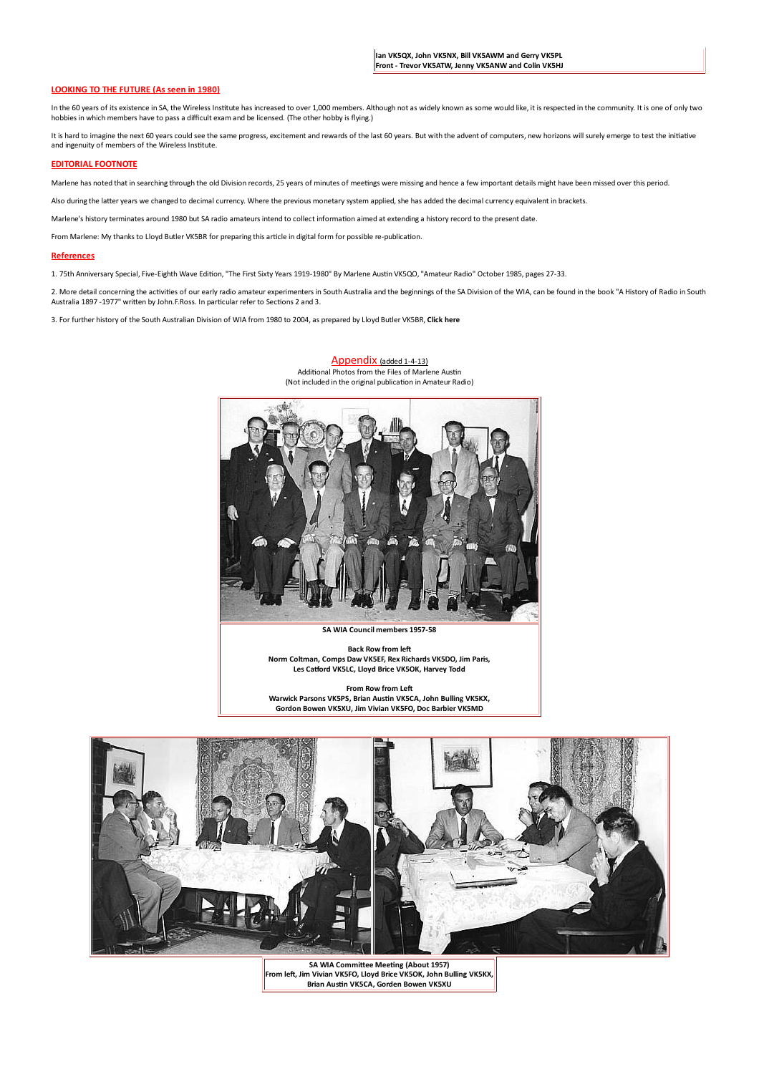## **LOOKING TO THE FUTURE (As seen in 1980)**

In the 60 years of its existence in SA, the Wireless Institute has increased to over 1,000 members. Although not as widely known as some would like, it is respected in the community. It is one of only two hobbies in which members have to pass a difficult exam and be licensed. (The other hobby is flying.)

It is hard to imagine the next 60 years could see the same progress, excitement and rewards of the last 60 years. But with the advent of computers, new horizons will surely emerge to test the initiative and ingenuity of members of the Wireless Institute.

### **EDITORIAL FOOTNOTE**

Marlene has noted that in searching through the old Division records, 25 years of minutes of meetings were missing and hence a few important details might have been missed over this period.

Also during the latter years we changed to decimal currency. Where the previous monetary system applied, she has added the decimal currency equivalent in brackets.

Marlene's history terminates around 1980 but SA radio amateurs intend to collect information aimed at extending a history record to the present date.

From Marlene: My thanks to Lloyd Butler VK5BR for preparing this article in digital form for possible re-publication.

### **References**

1. 75th Anniversary Special, Five-Eighth Wave Edition, "The First Sixty Years 1919-1980" By Marlene Austin VK5QO, "Amateur Radio" October 1985, pages 27-33.

2. More detail concerning the activities of our early radio amateur experimenters in South Australia and the beginnings of the SA Division of the WIA, can be found in the book "A History of Radio in South Australia 1897 -1977" written by John F.Ross. In particular refer to Sections 2 and 3.

> Appendix (added 1-4-13) Additional Photos from the Files of Marlene Austin

3. For further history of the South Australian Division of WIA from 1980 to 2004, as prepared by Lloyd Butler VK5BR. Click here

(Not included in the original publication in Amateur Radio)

SA WIA Council members 1957-58

**Back Row from left** Norm Coltman, Comps Daw VK5EF, Rex Richards VK5DO, Jim Paris, Les Catford VK5LC, Lloyd Brice VK5OK, Harvey Todd

From Row from Left Warwick Parsons VK5PS, Brian Austin VK5CA, John Bulling VK5KX, Gordon Bowen VK5XU, Jim Vivian VK5FO, Doc Barbier VK5MD



SA WIA Committee Meeting (About 1957) From left, Jim Vivian VK5FO, Lloyd Brice VK5OK, John Bulling VK5KX Brian Austin VK5CA, Gorden Bowen VK5XU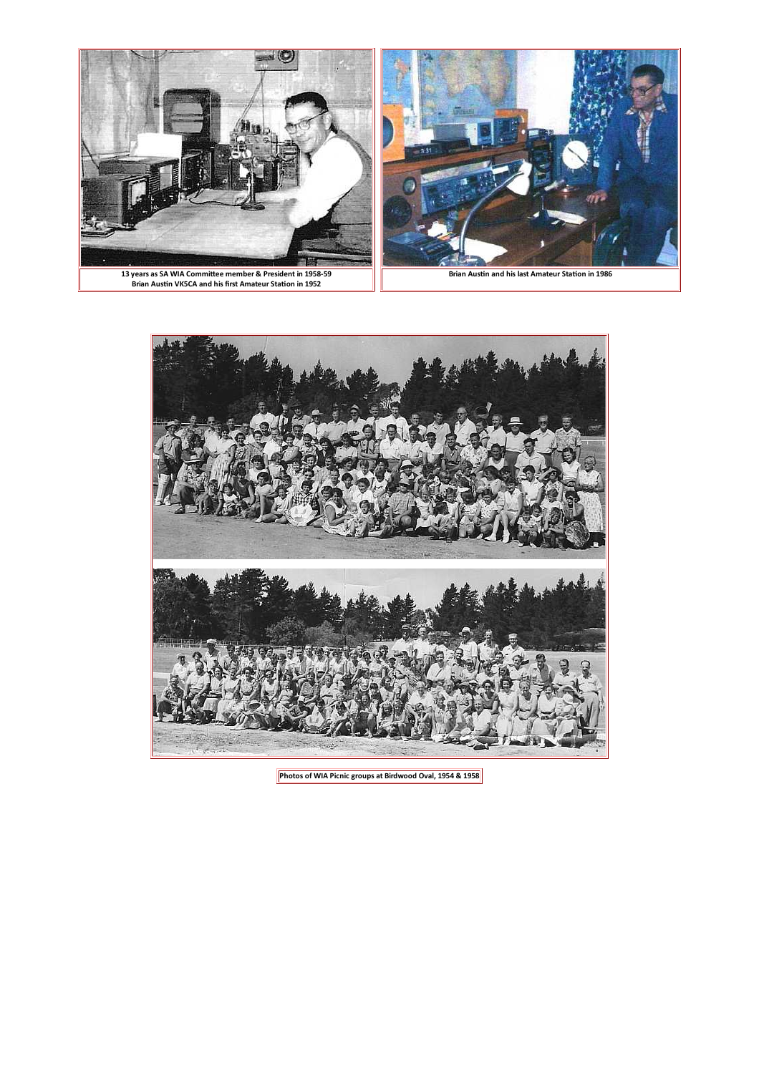



Photos of WIA Picnic groups at Birdwood Oval, 1954 & 1958